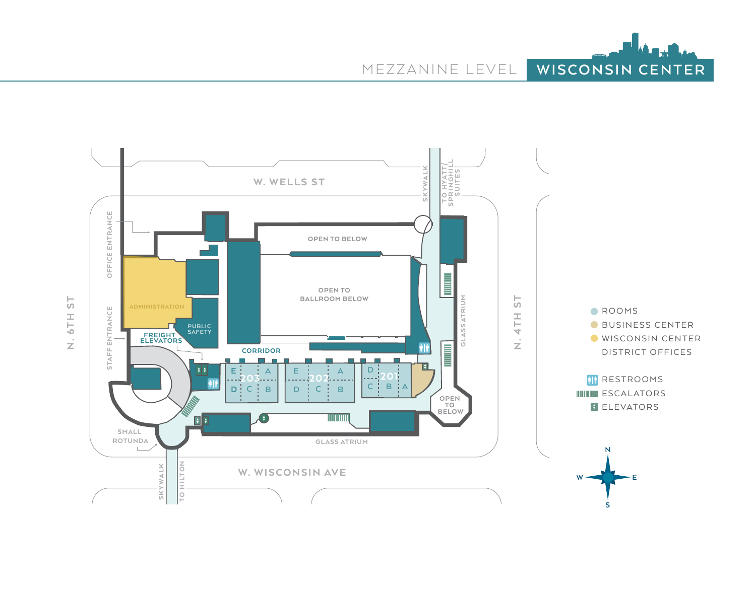



 $\frac{\Gamma}{\sqrt{2}}$ N. 6TH ST 6TH  $\vec{z}$